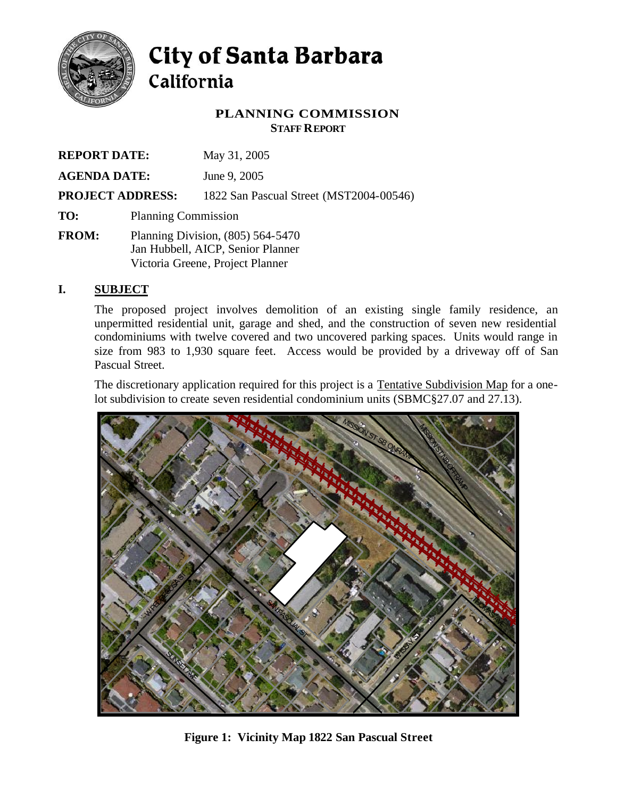

# City of Santa Barbara California

# **PLANNING COMMISSION STAFF REPORT**

| <b>REPORT DATE:</b>                            |                                                                                                            | May 31, 2005                                            |  |  |  |     |
|------------------------------------------------|------------------------------------------------------------------------------------------------------------|---------------------------------------------------------|--|--|--|-----|
| <b>AGENDA DATE:</b><br><b>PROJECT ADDRESS:</b> |                                                                                                            | June 9, 2005<br>1822 San Pascual Street (MST2004-00546) |  |  |  |     |
|                                                |                                                                                                            |                                                         |  |  |  | TO: |
| <b>FROM:</b>                                   | Planning Division, (805) 564-5470<br>Jan Hubbell, AICP, Senior Planner<br>Victoria Greene, Project Planner |                                                         |  |  |  |     |

# **I. SUBJECT**

The proposed project involves demolition of an existing single family residence, an unpermitted residential unit, garage and shed, and the construction of seven new residential condominiums with twelve covered and two uncovered parking spaces. Units would range in size from 983 to 1,930 square feet. Access would be provided by a driveway off of San Pascual Street.

The discretionary application required for this project is a Tentative Subdivision Map for a onelot subdivision to create seven residential condominium units (SBMC§27.07 and 27.13).



**Figure 1: Vicinity Map 1822 San Pascual Street**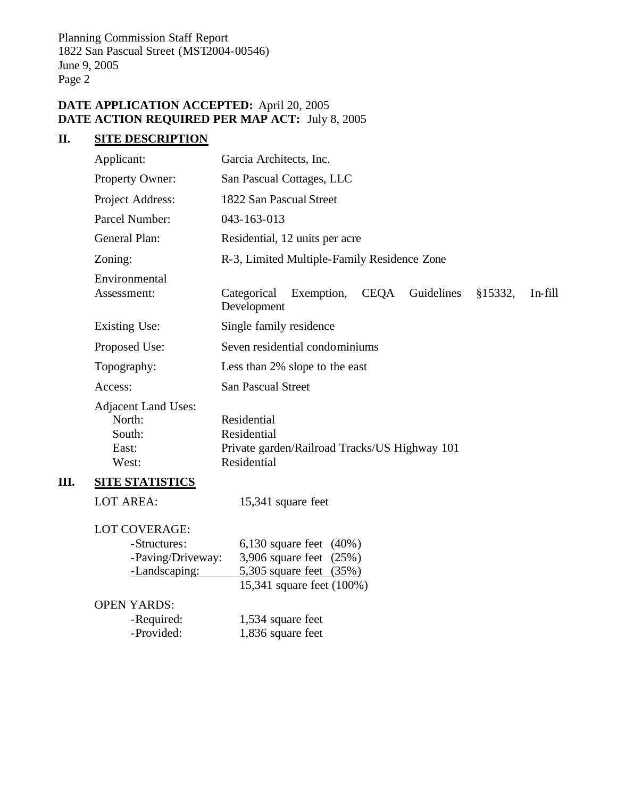# **DATE APPLICATION ACCEPTED:** April 20, 2005 **DATE ACTION REQUIRED PER MAP ACT:** July 8, 2005

# **II. SITE DESCRIPTION**

**III.** 

| Applicant:                                                                 | Garcia Architects, Inc.                                                                                       |  |  |  |  |  |  |
|----------------------------------------------------------------------------|---------------------------------------------------------------------------------------------------------------|--|--|--|--|--|--|
| Property Owner:                                                            | San Pascual Cottages, LLC                                                                                     |  |  |  |  |  |  |
| Project Address:                                                           | 1822 San Pascual Street                                                                                       |  |  |  |  |  |  |
| Parcel Number:                                                             | 043-163-013                                                                                                   |  |  |  |  |  |  |
| <b>General Plan:</b>                                                       | Residential, 12 units per acre                                                                                |  |  |  |  |  |  |
| Zoning:                                                                    | R-3, Limited Multiple-Family Residence Zone                                                                   |  |  |  |  |  |  |
| Environmental<br>Assessment:                                               | <b>CEQA</b><br>Guidelines<br>§15332,<br>In-fill<br>Categorical<br>Exemption,<br>Development                   |  |  |  |  |  |  |
| <b>Existing Use:</b>                                                       | Single family residence                                                                                       |  |  |  |  |  |  |
| Proposed Use:                                                              | Seven residential condominiums                                                                                |  |  |  |  |  |  |
| Topography:                                                                | Less than 2% slope to the east                                                                                |  |  |  |  |  |  |
| Access:                                                                    | <b>San Pascual Street</b>                                                                                     |  |  |  |  |  |  |
| <b>Adjacent Land Uses:</b><br>North:<br>South:<br>East:<br>West:           | Residential<br>Residential<br>Private garden/Railroad Tracks/US Highway 101<br>Residential                    |  |  |  |  |  |  |
| <b>SITE STATISTICS</b>                                                     |                                                                                                               |  |  |  |  |  |  |
| <b>LOT AREA:</b>                                                           | 15,341 square feet                                                                                            |  |  |  |  |  |  |
| <b>LOT COVERAGE:</b><br>-Structures:<br>-Paving/Driveway:<br>-Landscaping: | 6,130 square feet $(40\%)$<br>3,906 square feet (25%)<br>5,305 square feet (35%)<br>15,341 square feet (100%) |  |  |  |  |  |  |
| <b>OPEN YARDS:</b><br>-Required:                                           | 1,534 square feet                                                                                             |  |  |  |  |  |  |
| -Provided:                                                                 | 1,836 square feet                                                                                             |  |  |  |  |  |  |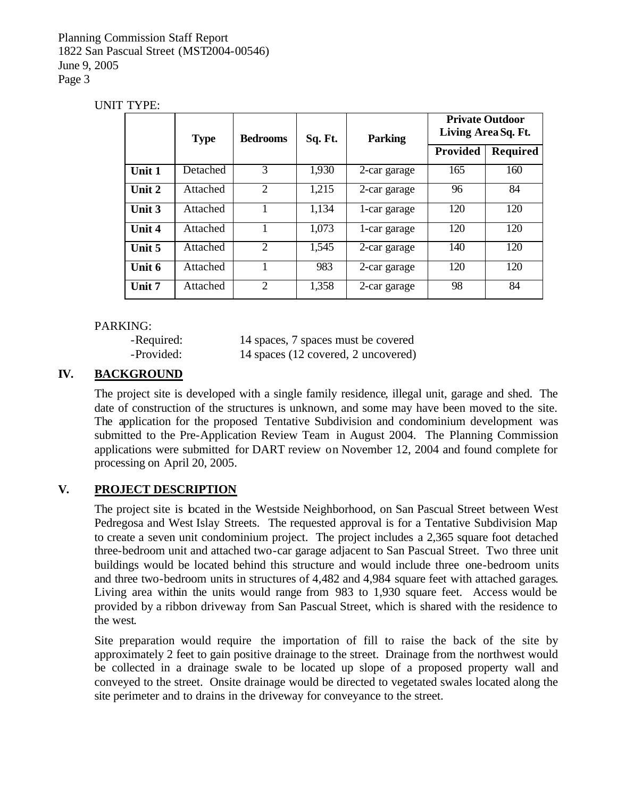#### UNIT TYPE:

|        | <b>Type</b> | <b>Bedrooms</b>             | Sq. Ft. | <b>Parking</b> | <b>Private Outdoor</b><br>Living Area Sq. Ft. |                 |
|--------|-------------|-----------------------------|---------|----------------|-----------------------------------------------|-----------------|
|        |             |                             |         |                | <b>Provided</b>                               | <b>Required</b> |
| Unit 1 | Detached    | 3                           | 1,930   | 2-car garage   | 165                                           | 160             |
| Unit 2 | Attached    | $\overline{2}$              | 1,215   | 2-car garage   | 96                                            | 84              |
| Unit 3 | Attached    |                             | 1,134   | 1-car garage   | 120                                           | 120             |
| Unit 4 | Attached    |                             | 1,073   | 1-car garage   | 120                                           | 120             |
| Unit 5 | Attached    | $\mathcal{D}_{\mathcal{L}}$ | 1,545   | 2-car garage   | 140                                           | 120             |
| Unit 6 | Attached    |                             | 983     | 2-car garage   | 120                                           | 120             |
| Unit 7 | Attached    | $\overline{2}$              | 1,358   | 2-car garage   | 98                                            | 84              |

## PARKING:

-Required: 14 spaces, 7 spaces must be covered -Provided: 14 spaces (12 covered, 2 uncovered)

# **IV. BACKGROUND**

The project site is developed with a single family residence, illegal unit, garage and shed. The date of construction of the structures is unknown, and some may have been moved to the site. The application for the proposed Tentative Subdivision and condominium development was submitted to the Pre-Application Review Team in August 2004. The Planning Commission applications were submitted for DART review on November 12, 2004 and found complete for processing on April 20, 2005.

# **V. PROJECT DESCRIPTION**

The project site is located in the Westside Neighborhood, on San Pascual Street between West Pedregosa and West Islay Streets. The requested approval is for a Tentative Subdivision Map to create a seven unit condominium project. The project includes a 2,365 square foot detached three-bedroom unit and attached two-car garage adjacent to San Pascual Street. Two three unit buildings would be located behind this structure and would include three one-bedroom units and three two-bedroom units in structures of 4,482 and 4,984 square feet with attached garages. Living area within the units would range from 983 to 1,930 square feet. Access would be provided by a ribbon driveway from San Pascual Street, which is shared with the residence to the west.

Site preparation would require the importation of fill to raise the back of the site by approximately 2 feet to gain positive drainage to the street. Drainage from the northwest would be collected in a drainage swale to be located up slope of a proposed property wall and conveyed to the street. Onsite drainage would be directed to vegetated swales located along the site perimeter and to drains in the driveway for conveyance to the street.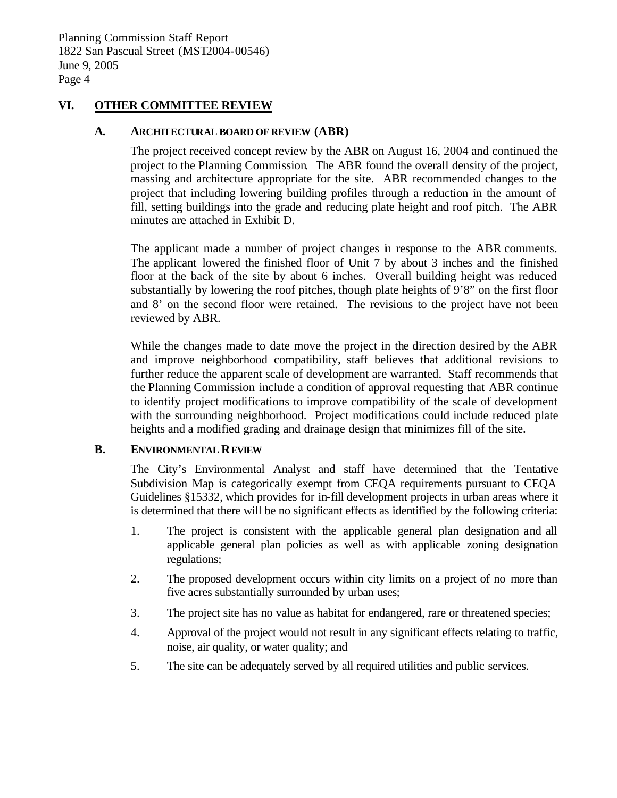#### **VI. OTHER COMMITTEE REVIEW**

#### **A. ARCHITECTURAL BOARD OF REVIEW (ABR)**

The project received concept review by the ABR on August 16, 2004 and continued the project to the Planning Commission. The ABR found the overall density of the project, massing and architecture appropriate for the site. ABR recommended changes to the project that including lowering building profiles through a reduction in the amount of fill, setting buildings into the grade and reducing plate height and roof pitch. The ABR minutes are attached in Exhibit D.

The applicant made a number of project changes in response to the ABR comments. The applicant lowered the finished floor of Unit 7 by about 3 inches and the finished floor at the back of the site by about 6 inches. Overall building height was reduced substantially by lowering the roof pitches, though plate heights of 9'8" on the first floor and 8' on the second floor were retained. The revisions to the project have not been reviewed by ABR.

While the changes made to date move the project in the direction desired by the ABR and improve neighborhood compatibility, staff believes that additional revisions to further reduce the apparent scale of development are warranted. Staff recommends that the Planning Commission include a condition of approval requesting that ABR continue to identify project modifications to improve compatibility of the scale of development with the surrounding neighborhood. Project modifications could include reduced plate heights and a modified grading and drainage design that minimizes fill of the site.

#### **B. ENVIRONMENTAL REVIEW**

The City's Environmental Analyst and staff have determined that the Tentative Subdivision Map is categorically exempt from CEQA requirements pursuant to CEQA Guidelines §15332, which provides for in-fill development projects in urban areas where it is determined that there will be no significant effects as identified by the following criteria:

- 1. The project is consistent with the applicable general plan designation and all applicable general plan policies as well as with applicable zoning designation regulations;
- 2. The proposed development occurs within city limits on a project of no more than five acres substantially surrounded by urban uses;
- 3. The project site has no value as habitat for endangered, rare or threatened species;
- 4. Approval of the project would not result in any significant effects relating to traffic, noise, air quality, or water quality; and
- 5. The site can be adequately served by all required utilities and public services.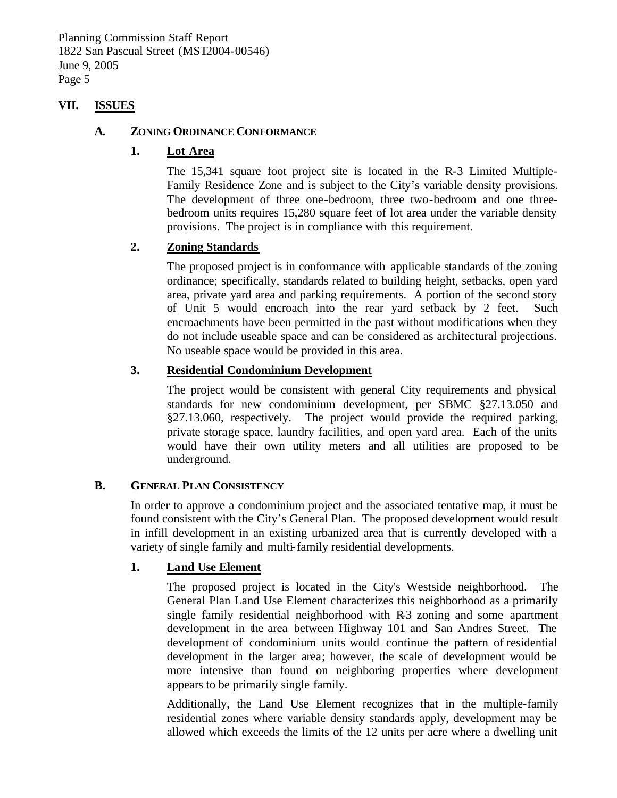#### **VII. ISSUES**

#### **A. ZONING ORDINANCE CONFORMANCE**

#### **1. Lot Area**

The 15,341 square foot project site is located in the R-3 Limited Multiple-Family Residence Zone and is subject to the City's variable density provisions. The development of three one-bedroom, three two-bedroom and one threebedroom units requires 15,280 square feet of lot area under the variable density provisions. The project is in compliance with this requirement.

#### **2. Zoning Standards**

The proposed project is in conformance with applicable standards of the zoning ordinance; specifically, standards related to building height, setbacks, open yard area, private yard area and parking requirements. A portion of the second story of Unit 5 would encroach into the rear yard setback by 2 feet. Such encroachments have been permitted in the past without modifications when they do not include useable space and can be considered as architectural projections. No useable space would be provided in this area.

#### **3. Residential Condominium Development**

The project would be consistent with general City requirements and physical standards for new condominium development, per SBMC §27.13.050 and §27.13.060, respectively. The project would provide the required parking, private storage space, laundry facilities, and open yard area. Each of the units would have their own utility meters and all utilities are proposed to be underground.

#### **B. GENERAL PLAN CONSISTENCY**

In order to approve a condominium project and the associated tentative map, it must be found consistent with the City's General Plan. The proposed development would result in infill development in an existing urbanized area that is currently developed with a variety of single family and multi-family residential developments.

#### **1. Land Use Element**

The proposed project is located in the City's Westside neighborhood. The General Plan Land Use Element characterizes this neighborhood as a primarily single family residential neighborhood with R-3 zoning and some apartment development in the area between Highway 101 and San Andres Street. The development of condominium units would continue the pattern of residential development in the larger area; however, the scale of development would be more intensive than found on neighboring properties where development appears to be primarily single family.

Additionally, the Land Use Element recognizes that in the multiple-family residential zones where variable density standards apply, development may be allowed which exceeds the limits of the 12 units per acre where a dwelling unit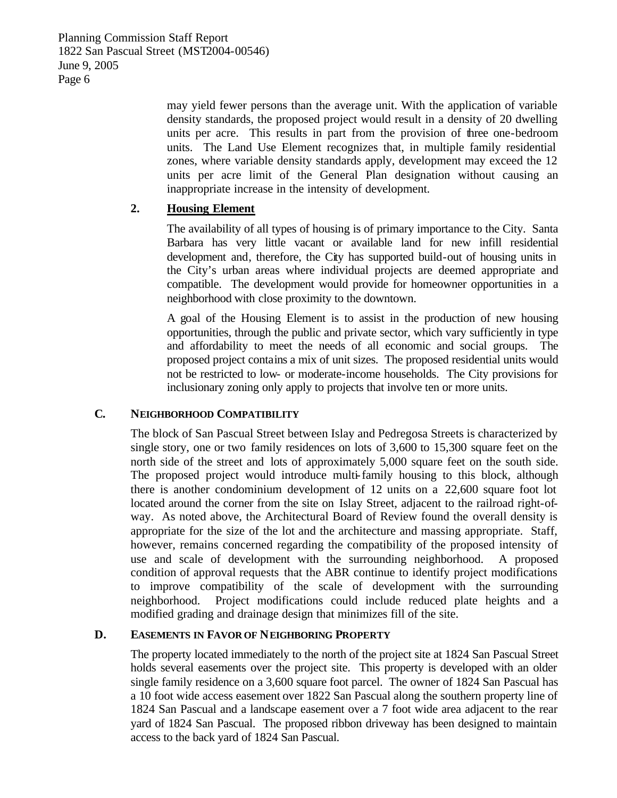> may yield fewer persons than the average unit. With the application of variable density standards, the proposed project would result in a density of 20 dwelling units per acre. This results in part from the provision of three one-bedroom units. The Land Use Element recognizes that, in multiple family residential zones, where variable density standards apply, development may exceed the 12 units per acre limit of the General Plan designation without causing an inappropriate increase in the intensity of development.

# **2. Housing Element**

The availability of all types of housing is of primary importance to the City. Santa Barbara has very little vacant or available land for new infill residential development and, therefore, the City has supported build-out of housing units in the City's urban areas where individual projects are deemed appropriate and compatible. The development would provide for homeowner opportunities in a neighborhood with close proximity to the downtown.

A goal of the Housing Element is to assist in the production of new housing opportunities, through the public and private sector, which vary sufficiently in type and affordability to meet the needs of all economic and social groups. The proposed project contains a mix of unit sizes. The proposed residential units would not be restricted to low- or moderate-income households. The City provisions for inclusionary zoning only apply to projects that involve ten or more units.

#### **C. NEIGHBORHOOD COMPATIBILITY**

The block of San Pascual Street between Islay and Pedregosa Streets is characterized by single story, one or two family residences on lots of 3,600 to 15,300 square feet on the north side of the street and lots of approximately 5,000 square feet on the south side. The proposed project would introduce multi-family housing to this block, although there is another condominium development of 12 units on a 22,600 square foot lot located around the corner from the site on Islay Street, adjacent to the railroad right-ofway. As noted above, the Architectural Board of Review found the overall density is appropriate for the size of the lot and the architecture and massing appropriate. Staff, however, remains concerned regarding the compatibility of the proposed intensity of use and scale of development with the surrounding neighborhood. A proposed condition of approval requests that the ABR continue to identify project modifications to improve compatibility of the scale of development with the surrounding neighborhood. Project modifications could include reduced plate heights and a modified grading and drainage design that minimizes fill of the site.

# **D. EASEMENTS IN FAVOR OF NEIGHBORING PROPERTY**

The property located immediately to the north of the project site at 1824 San Pascual Street holds several easements over the project site. This property is developed with an older single family residence on a 3,600 square foot parcel. The owner of 1824 San Pascual has a 10 foot wide access easement over 1822 San Pascual along the southern property line of 1824 San Pascual and a landscape easement over a 7 foot wide area adjacent to the rear yard of 1824 San Pascual. The proposed ribbon driveway has been designed to maintain access to the back yard of 1824 San Pascual.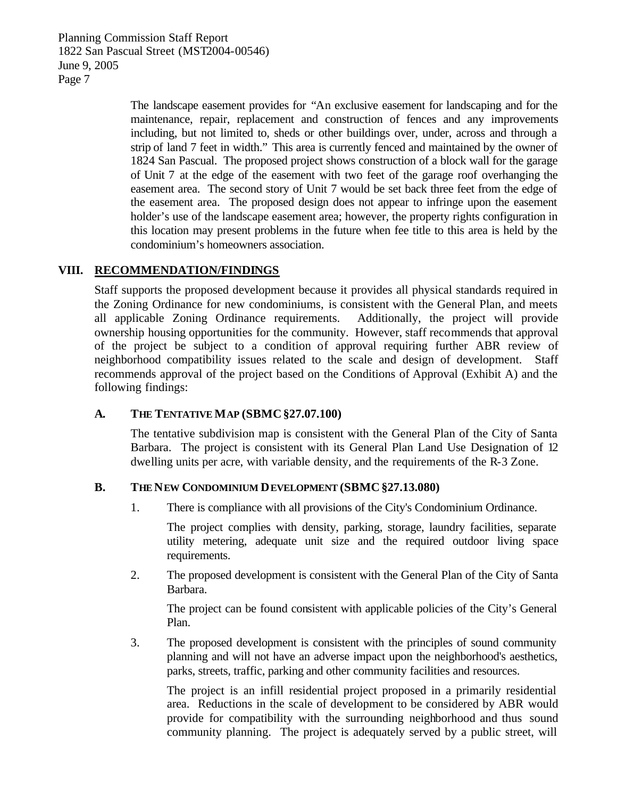> The landscape easement provides for "An exclusive easement for landscaping and for the maintenance, repair, replacement and construction of fences and any improvements including, but not limited to, sheds or other buildings over, under, across and through a strip of land 7 feet in width." This area is currently fenced and maintained by the owner of 1824 San Pascual. The proposed project shows construction of a block wall for the garage of Unit 7 at the edge of the easement with two feet of the garage roof overhanging the easement area. The second story of Unit 7 would be set back three feet from the edge of the easement area. The proposed design does not appear to infringe upon the easement holder's use of the landscape easement area; however, the property rights configuration in this location may present problems in the future when fee title to this area is held by the condominium's homeowners association.

## **VIII. RECOMMENDATION/FINDINGS**

Staff supports the proposed development because it provides all physical standards required in the Zoning Ordinance for new condominiums, is consistent with the General Plan, and meets all applicable Zoning Ordinance requirements. Additionally, the project will provide ownership housing opportunities for the community. However, staff recommends that approval of the project be subject to a condition of approval requiring further ABR review of neighborhood compatibility issues related to the scale and design of development. Staff recommends approval of the project based on the Conditions of Approval (Exhibit A) and the following findings:

#### **A. THE TENTATIVE MAP (SBMC§27.07.100)**

The tentative subdivision map is consistent with the General Plan of the City of Santa Barbara. The project is consistent with its General Plan Land Use Designation of 12 dwelling units per acre, with variable density, and the requirements of the R-3 Zone.

#### **B. THE NEW CONDOMINIUM DEVELOPMENT (SBMC§27.13.080)**

1. There is compliance with all provisions of the City's Condominium Ordinance.

The project complies with density, parking, storage, laundry facilities, separate utility metering, adequate unit size and the required outdoor living space requirements.

2. The proposed development is consistent with the General Plan of the City of Santa Barbara.

The project can be found consistent with applicable policies of the City's General Plan.

3. The proposed development is consistent with the principles of sound community planning and will not have an adverse impact upon the neighborhood's aesthetics, parks, streets, traffic, parking and other community facilities and resources.

The project is an infill residential project proposed in a primarily residential area. Reductions in the scale of development to be considered by ABR would provide for compatibility with the surrounding neighborhood and thus sound community planning. The project is adequately served by a public street, will